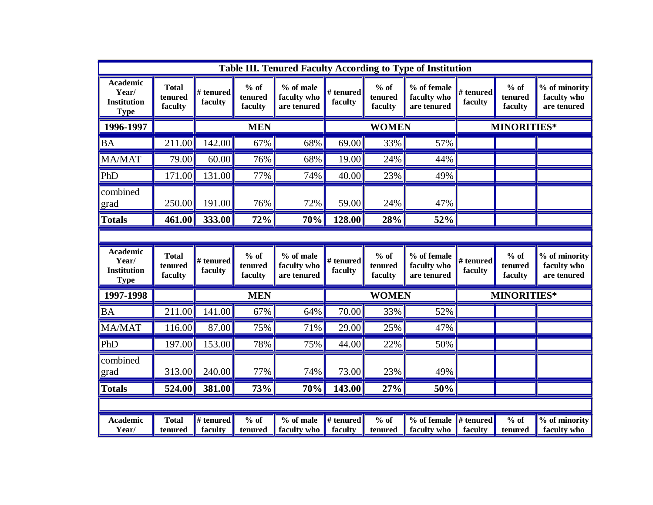|                                                               |                                    |                      |                              |                                                 |                      |                              | Table III. Tenured Faculty According to Type of Institution |                      |                              |                                             |
|---------------------------------------------------------------|------------------------------------|----------------------|------------------------------|-------------------------------------------------|----------------------|------------------------------|-------------------------------------------------------------|----------------------|------------------------------|---------------------------------------------|
| <b>Academic</b><br>Year/<br><b>Institution</b><br><b>Type</b> | <b>Total</b><br>tenured<br>faculty | # tenured<br>faculty | $%$ of<br>tenured<br>faculty | % of male<br>faculty who<br>are tenured         | # tenured<br>faculty | $%$ of<br>tenured<br>faculty | % of female<br>faculty who<br>are tenured                   | # tenured<br>faculty | $%$ of<br>tenured<br>faculty | % of minority<br>faculty who<br>are tenured |
| 1996-1997                                                     |                                    | <b>MEN</b>           |                              |                                                 | <b>WOMEN</b>         |                              |                                                             | <b>MINORITIES*</b>   |                              |                                             |
| BA                                                            | 211.00                             | 142.00               | 67%                          | 68%                                             | 69.00                | 33%                          | 57%                                                         |                      |                              |                                             |
| MA/MAT                                                        | 79.00                              | 60.00                | 76%                          | 68%                                             | 19.00                | 24%                          | 44%                                                         |                      |                              |                                             |
| PhD                                                           | 171.00                             | 131.00               | 77%                          | 74%                                             | 40.00                | 23%                          | 49%                                                         |                      |                              |                                             |
| combined<br>grad                                              | 250.00                             | 191.00               | 76%                          | 72%                                             | 59.00                | 24%                          | 47%                                                         |                      |                              |                                             |
| <b>Totals</b>                                                 | 461.00                             | 333.00               | 72%                          | 70%                                             | 128.00               | 28%                          | 52%                                                         |                      |                              |                                             |
|                                                               |                                    |                      |                              |                                                 |                      |                              |                                                             |                      |                              |                                             |
| <b>Academic</b><br>Year/<br><b>Institution</b><br><b>Type</b> | <b>Total</b><br>tenured<br>faculty | # tenured<br>faculty | $%$ of<br>tenured<br>faculty | % of male<br>faculty who<br>are tenured         | # tenured<br>faculty | $%$ of<br>tenured<br>faculty | % of female<br>faculty who<br>are tenured                   | # tenured<br>faculty | $%$ of<br>tenured<br>faculty | % of minority<br>faculty who<br>are tenured |
| 1997-1998                                                     |                                    | <b>MEN</b>           |                              | <b>WOMEN</b>                                    |                      |                              | <b>MINORITIES*</b>                                          |                      |                              |                                             |
| <b>BA</b>                                                     | 211.00                             | 141.00               | 67%                          | 64%                                             | 70.00                | 33%                          | 52%                                                         |                      |                              |                                             |
| MA/MAT                                                        | 116.00                             | 87.00                | 75%                          | 71%                                             | 29.00                | 25%                          | 47%                                                         |                      |                              |                                             |
| PhD                                                           | 197.00                             | 153.00               | 78%                          | 75%                                             | 44.00                | 22%                          | 50%                                                         |                      |                              |                                             |
| combined<br>grad                                              | 313.00                             | 240.00               | 77%                          | 74%                                             | 73.00                | 23%                          | 49%                                                         |                      |                              |                                             |
| <b>Totals</b>                                                 | 524.00                             | 381.00               | 73%                          | 70%                                             | 143.00               | 27%                          | 50%                                                         |                      |                              |                                             |
|                                                               |                                    |                      |                              |                                                 |                      |                              |                                                             |                      |                              |                                             |
| <b>Academic</b><br>Year/                                      | <b>Total</b><br>tenured            | # tenured<br>faculty | $%$ of<br>tenured            | $\sqrt[9]{\frac{6}{10}}$ of male<br>faculty who | # tenured<br>faculty | $%$ of<br>tenured            | % of female<br>faculty who                                  | # tenured<br>faculty | $%$ of<br>tenured            | % of minority<br>faculty who                |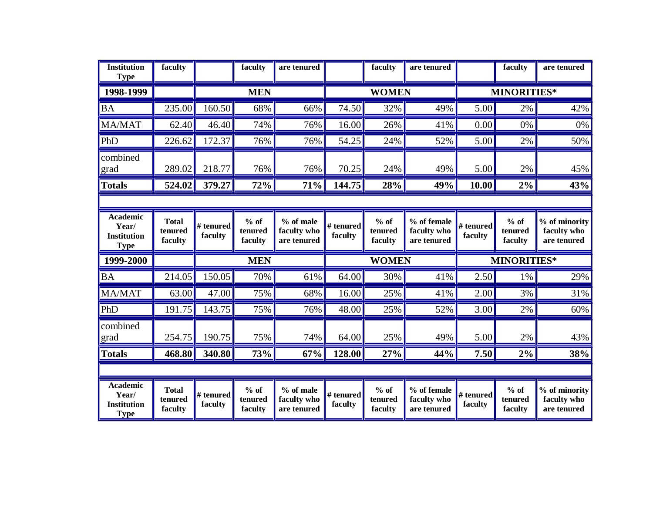| <b>Institution</b><br><b>Type</b>                             | faculty                            |                      | faculty                      | are tenured                             |                      | faculty                      | are tenured                               |                      | faculty                      | are tenured                                 |
|---------------------------------------------------------------|------------------------------------|----------------------|------------------------------|-----------------------------------------|----------------------|------------------------------|-------------------------------------------|----------------------|------------------------------|---------------------------------------------|
| 1998-1999                                                     |                                    | <b>MEN</b>           |                              |                                         | <b>WOMEN</b>         |                              |                                           | <b>MINORITIES*</b>   |                              |                                             |
| <b>BA</b>                                                     | 235.00                             | 160.50               | 68%                          | 66%                                     | 74.50                | 32%                          | 49%                                       | 5.00                 | 2%                           | 42%                                         |
| <b>MA/MAT</b>                                                 | 62.40                              | 46.40                | 74%                          | 76%                                     | 16.00                | 26%                          | 41%                                       | 0.00                 | 0%                           | $0\%$                                       |
| PhD                                                           | 226.62                             | 172.37               | 76%                          | 76%                                     | 54.25                | 24%                          | 52%                                       | 5.00                 | 2%                           | 50%                                         |
| combined<br>grad                                              | 289.02                             | 218.77               | 76%                          | 76%                                     | 70.25                | 24%                          | 49%                                       | 5.00                 | 2%                           | 45%                                         |
| <b>Totals</b>                                                 | 524.02                             | 379.27               | 72%                          | 71%                                     | 144.75               | 28%                          | 49%                                       | 10.00                | 2%                           | 43%                                         |
|                                                               |                                    |                      |                              |                                         |                      |                              |                                           |                      |                              |                                             |
| <b>Academic</b><br>Year/<br><b>Institution</b><br><b>Type</b> | <b>Total</b><br>tenured<br>faculty | # tenured<br>faculty | $%$ of<br>tenured<br>faculty | % of male<br>faculty who<br>are tenured | # tenured<br>faculty | $%$ of<br>tenured<br>faculty | % of female<br>faculty who<br>are tenured | # tenured<br>faculty | $%$ of<br>tenured<br>faculty | % of minority<br>faculty who<br>are tenured |
| 1999-2000                                                     |                                    |                      | <b>MEN</b>                   |                                         | <b>WOMEN</b>         |                              |                                           | <b>MINORITIES*</b>   |                              |                                             |
| <b>BA</b>                                                     | 214.05                             | 150.05               | 70%                          | 61%                                     | 64.00                | 30%                          | 41%                                       | 2.50                 | 1%                           | 29%                                         |
| MA/MAT                                                        | 63.00                              | 47.00                | 75%                          | 68%                                     | 16.00                | 25%                          | 41%                                       | 2.00                 | 3%                           | 31%                                         |
| PhD                                                           | 191.75                             | 143.75               | 75%                          | 76%                                     | 48.00                | 25%                          | 52%                                       | 3.00                 | 2%                           | 60%                                         |
| combined<br>grad                                              | 254.75                             | 190.75               | 75%                          | 74%                                     | 64.00                | 25%                          | 49%                                       | 5.00                 | 2%                           | 43%                                         |
| <b>Totals</b>                                                 | 468.80                             | 340.80               | 73%                          | 67%                                     | 128.00               | 27%                          | 44%                                       | 7.50                 | $2\%$                        | 38%                                         |
|                                                               |                                    |                      |                              |                                         |                      |                              |                                           |                      |                              |                                             |
| <b>Academic</b><br>Year/<br><b>Institution</b><br><b>Type</b> | <b>Total</b><br>tenured<br>faculty | # tenured<br>faculty | $%$ of<br>tenured<br>faculty | % of male<br>faculty who<br>are tenured | # tenured<br>faculty | $%$ of<br>tenured<br>faculty | % of female<br>faculty who<br>are tenured | # tenured<br>faculty | $%$ of<br>tenured<br>faculty | % of minority<br>faculty who<br>are tenured |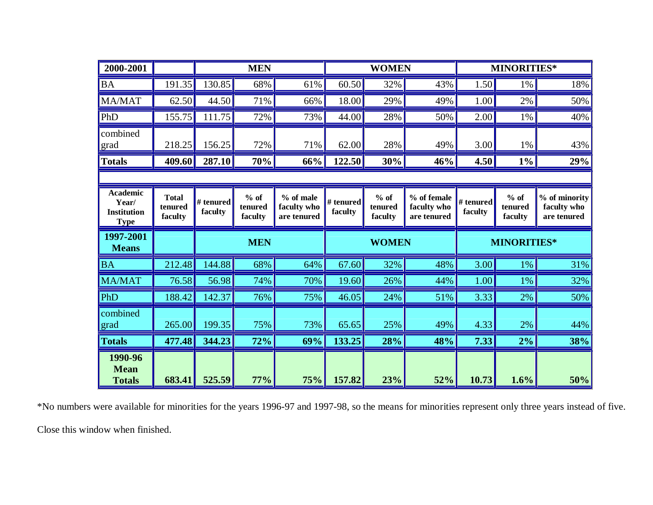| 2000-2001                                                     |                                    |                      | <b>MEN</b>                   |                                         |                      | <b>WOMEN</b>                 |                                           |                      | <b>MINORITIES*</b>           |                                             |  |
|---------------------------------------------------------------|------------------------------------|----------------------|------------------------------|-----------------------------------------|----------------------|------------------------------|-------------------------------------------|----------------------|------------------------------|---------------------------------------------|--|
| <b>BA</b>                                                     | 191.35                             | 130.85               | 68%                          | 61%                                     | 60.50                | 32%                          | 43%                                       | 1.50                 | 1%                           | 18%                                         |  |
| MA/MAT                                                        | 62.50                              | 44.50                | 71%                          | 66%                                     | 18.00                | 29%                          | 49%                                       | 1.00                 | 2%                           | 50%                                         |  |
| PhD                                                           | 155.75                             | 111.75               | 72%                          | 73%                                     | 44.00                | 28%                          | 50%                                       | 2.00                 | 1%                           | 40%                                         |  |
| combined<br>grad                                              | 218.25                             | 156.25               | 72%                          | 71%                                     | 62.00                | 28%                          | 49%                                       | 3.00                 | 1%                           | 43%                                         |  |
| <b>Totals</b>                                                 | 409.60                             | 287.10               | 70%                          | 66%                                     | 122.50               | 30%                          | 46%                                       | 4.50                 | $1\%$                        | 29%                                         |  |
|                                                               |                                    |                      |                              |                                         |                      |                              |                                           |                      |                              |                                             |  |
| <b>Academic</b><br>Year/<br><b>Institution</b><br><b>Type</b> | <b>Total</b><br>tenured<br>faculty | # tenured<br>faculty | $%$ of<br>tenured<br>faculty | % of male<br>faculty who<br>are tenured | # tenured<br>faculty | $%$ of<br>tenured<br>faculty | % of female<br>faculty who<br>are tenured | # tenured<br>faculty | $%$ of<br>tenured<br>faculty | % of minority<br>faculty who<br>are tenured |  |
|                                                               |                                    |                      |                              |                                         |                      |                              |                                           |                      |                              |                                             |  |
| 1997-2001<br><b>Means</b>                                     |                                    |                      | <b>MEN</b>                   |                                         |                      | <b>WOMEN</b>                 |                                           |                      | <b>MINORITIES*</b>           |                                             |  |
| <b>BA</b>                                                     | 212.48                             | 144.88               | 68%                          | 64%                                     | 67.60                | 32%                          | 48%                                       | 3.00                 | $1\%$                        | 31%                                         |  |
| <b>MA/MAT</b>                                                 | 76.58                              | 56.98                | 74%                          | 70%                                     | 19.60                | 26%                          | 44%                                       | 1.00                 | 1%                           | 32%                                         |  |
| PhD                                                           | 188.42                             | 142.37               | 76%                          | 75%                                     | 46.05                | 24%                          | 51%                                       | 3.33                 | 2%                           | 50%                                         |  |
| combined<br>grad                                              | 265.00                             | 199.35               | 75%                          | 73%                                     | 65.65                | 25%                          | 49%                                       | 4.33                 | 2%                           | 44%                                         |  |
| <b>Totals</b>                                                 | 477.48                             | 344.23               | 72%                          | 69%                                     | 133.25               | 28%                          | 48%                                       | 7.33                 | 2%                           | 38%                                         |  |

\*No numbers were available for minorities for the years 1996-97 and 1997-98, so the means for minorities represent only three years instead of five. Close this window when finished.